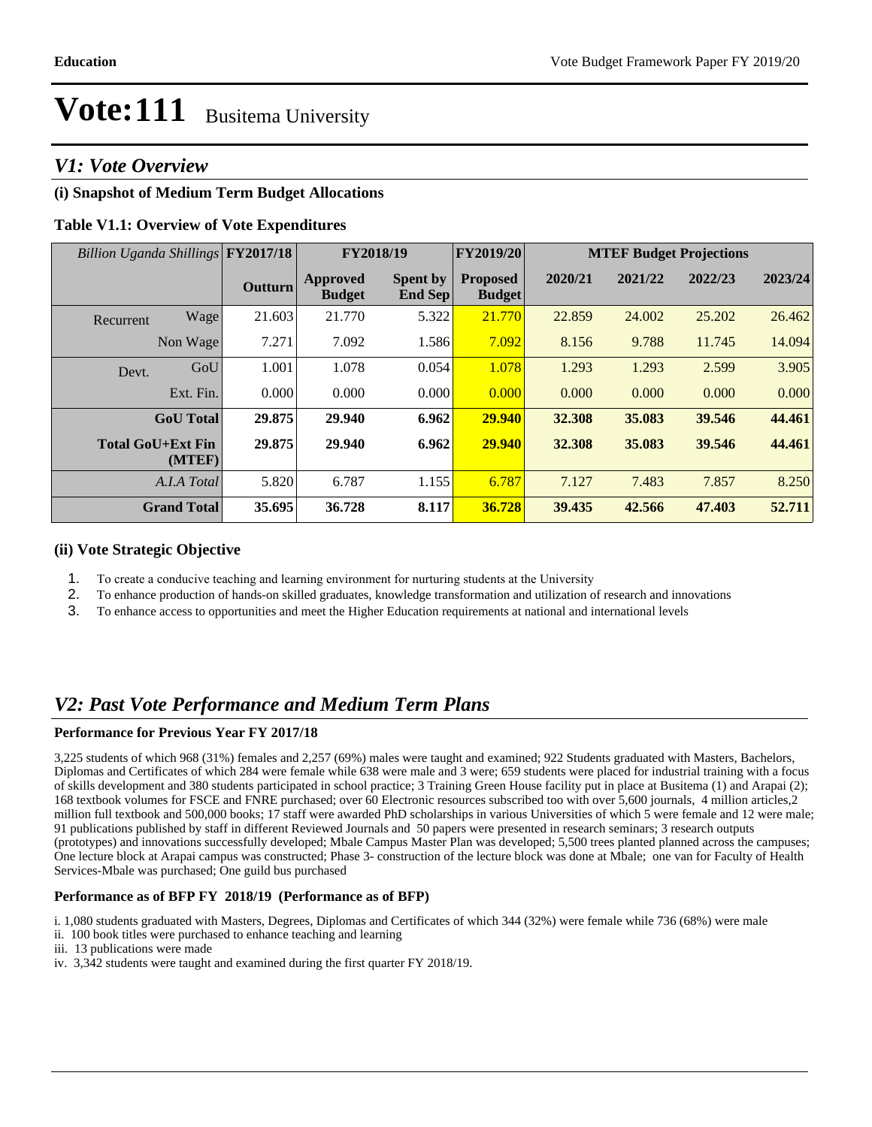### *V1: Vote Overview*

### **(i) Snapshot of Medium Term Budget Allocations**

#### **Table V1.1: Overview of Vote Expenditures**

| Billion Uganda Shillings FY2017/18 |                    |                | FY2018/19                 |                                   | <b>FY2019/20</b>                 | <b>MTEF Budget Projections</b> |         |         |         |
|------------------------------------|--------------------|----------------|---------------------------|-----------------------------------|----------------------------------|--------------------------------|---------|---------|---------|
|                                    |                    | <b>Outturn</b> | Approved<br><b>Budget</b> | <b>Spent by</b><br><b>End Sep</b> | <b>Proposed</b><br><b>Budget</b> | 2020/21                        | 2021/22 | 2022/23 | 2023/24 |
| Recurrent                          | Wage               | 21.603         | 21.770                    | 5.322                             | 21.770                           | 22.859                         | 24.002  | 25.202  | 26.462  |
|                                    | Non Wage           | 7.271          | 7.092                     | 1.586                             | 7.092                            | 8.156                          | 9.788   | 11.745  | 14.094  |
| Devt.                              | GoU                | 1.001          | 1.078                     | 0.054                             | 1.078                            | 1.293                          | 1.293   | 2.599   | 3.905   |
|                                    | Ext. Fin.          | 0.000          | 0.000                     | 0.000                             | 0.000                            | 0.000                          | 0.000   | 0.000   | 0.000   |
|                                    | <b>GoU</b> Total   | 29.875         | 29.940                    | 6.962                             | 29.940                           | 32.308                         | 35.083  | 39.546  | 44.461  |
| <b>Total GoU+Ext Fin</b>           | (MTEF)             | 29.875         | 29.940                    | 6.962                             | 29.940                           | 32.308                         | 35.083  | 39.546  | 44.461  |
|                                    | A.I.A Total        | 5.820          | 6.787                     | 1.155                             | 6.787                            | 7.127                          | 7.483   | 7.857   | 8.250   |
|                                    | <b>Grand Total</b> | 35.695         | 36.728                    | 8.117                             | 36.728                           | 39.435                         | 42.566  | 47.403  | 52.711  |

#### **(ii) Vote Strategic Objective**

- 1. To create a conducive teaching and learning environment for nurturing students at the University
- 2. To enhance production of hands-on skilled graduates, knowledge transformation and utilization of research and innovations
- 3. To enhance access to opportunities and meet the Higher Education requirements at national and international levels

### *V2: Past Vote Performance and Medium Term Plans*

#### **Performance for Previous Year FY 2017/18**

3,225 students of which 968 (31%) females and 2,257 (69%) males were taught and examined; 922 Students graduated with Masters, Bachelors, Diplomas and Certificates of which 284 were female while 638 were male and 3 were; 659 students were placed for industrial training with a focus of skills development and 380 students participated in school practice; 3 Training Green House facility put in place at Busitema (1) and Arapai (2); 168 textbook volumes for FSCE and FNRE purchased; over 60 Electronic resources subscribed too with over 5,600 journals, 4 million articles,2 million full textbook and 500,000 books; 17 staff were awarded PhD scholarships in various Universities of which 5 were female and 12 were male; 91 publications published by staff in different Reviewed Journals and 50 papers were presented in research seminars; 3 research outputs (prototypes) and innovations successfully developed; Mbale Campus Master Plan was developed; 5,500 trees planted planned across the campuses; One lecture block at Arapai campus was constructed; Phase 3- construction of the lecture block was done at Mbale; one van for Faculty of Health Services-Mbale was purchased; One guild bus purchased

#### **Performance as of BFP FY 2018/19 (Performance as of BFP)**

i. 1,080 students graduated with Masters, Degrees, Diplomas and Certificates of which 344 (32%) were female while 736 (68%) were male ii. 100 book titles were purchased to enhance teaching and learning

- iii. 13 publications were made
- iv. 3,342 students were taught and examined during the first quarter FY 2018/19.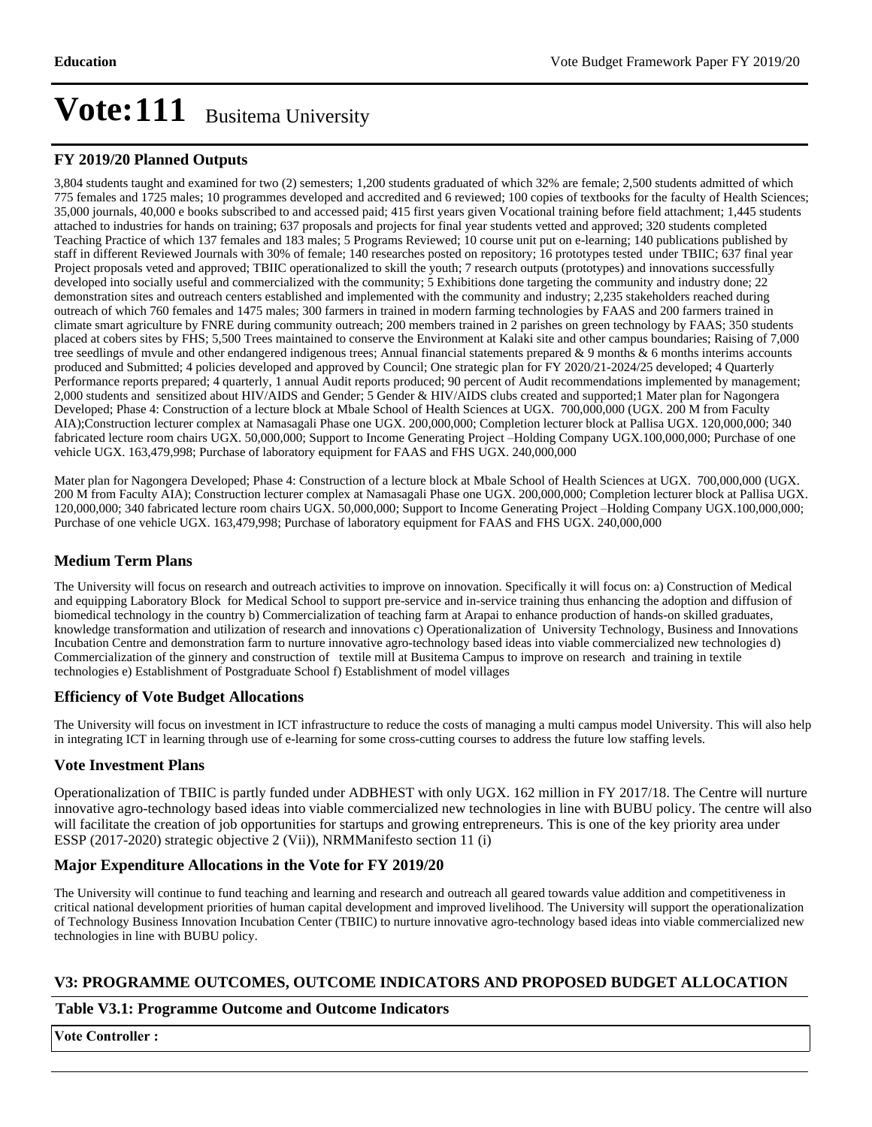#### **FY 2019/20 Planned Outputs**

3,804 students taught and examined for two (2) semesters; 1,200 students graduated of which 32% are female; 2,500 students admitted of which 775 females and 1725 males; 10 programmes developed and accredited and 6 reviewed; 100 copies of textbooks for the faculty of Health Sciences; 35,000 journals, 40,000 e books subscribed to and accessed paid; 415 first years given Vocational training before field attachment; 1,445 students attached to industries for hands on training; 637 proposals and projects for final year students vetted and approved; 320 students completed Teaching Practice of which 137 females and 183 males; 5 Programs Reviewed; 10 course unit put on e-learning; 140 publications published by staff in different Reviewed Journals with 30% of female; 140 researches posted on repository; 16 prototypes tested under TBIIC; 637 final year Project proposals veted and approved; TBIIC operationalized to skill the youth; 7 research outputs (prototypes) and innovations successfully developed into socially useful and commercialized with the community; 5 Exhibitions done targeting the community and industry done; 22 demonstration sites and outreach centers established and implemented with the community and industry; 2,235 stakeholders reached during outreach of which 760 females and 1475 males; 300 farmers in trained in modern farming technologies by FAAS and 200 farmers trained in climate smart agriculture by FNRE during community outreach; 200 members trained in 2 parishes on green technology by FAAS; 350 students placed at cobers sites by FHS; 5,500 Trees maintained to conserve the Environment at Kalaki site and other campus boundaries; Raising of 7,000 tree seedlings of mvule and other endangered indigenous trees; Annual financial statements prepared & 9 months & 6 months interims accounts produced and Submitted; 4 policies developed and approved by Council; One strategic plan for FY 2020/21-2024/25 developed; 4 Quarterly Performance reports prepared; 4 quarterly, 1 annual Audit reports produced; 90 percent of Audit recommendations implemented by management; 2,000 students and sensitized about HIV/AIDS and Gender; 5 Gender & HIV/AIDS clubs created and supported;1 Mater plan for Nagongera Developed; Phase 4: Construction of a lecture block at Mbale School of Health Sciences at UGX. 700,000,000 (UGX. 200 M from Faculty AIA);Construction lecturer complex at Namasagali Phase one UGX. 200,000,000; Completion lecturer block at Pallisa UGX. 120,000,000; 340 fabricated lecture room chairs UGX. 50,000,000; Support to Income Generating Project -Holding Company UGX.100,000,000; Purchase of one vehicle UGX. 163,479,998; Purchase of laboratory equipment for FAAS and FHS UGX. 240,000,000

Mater plan for Nagongera Developed; Phase 4: Construction of a lecture block at Mbale School of Health Sciences at UGX. 700,000,000 (UGX. 200 M from Faculty AIA); Construction lecturer complex at Namasagali Phase one UGX. 200,000,000; Completion lecturer block at Pallisa UGX. 120,000,000; 340 fabricated lecture room chairs UGX. 50,000,000; Support to Income Generating Project -Holding Company UGX.100,000,000; Purchase of one vehicle UGX. 163,479,998; Purchase of laboratory equipment for FAAS and FHS UGX. 240,000,000

#### **Medium Term Plans**

The University will focus on research and outreach activities to improve on innovation. Specifically it will focus on: a) Construction of Medical and equipping Laboratory Block for Medical School to support pre-service and in-service training thus enhancing the adoption and diffusion of biomedical technology in the country b) Commercialization of teaching farm at Arapai to enhance production of hands-on skilled graduates, knowledge transformation and utilization of research and innovations c) Operationalization of University Technology, Business and Innovations Incubation Centre and demonstration farm to nurture innovative agro-technology based ideas into viable commercialized new technologies d) Commercialization of the ginnery and construction of textile mill at Busitema Campus to improve on research and training in textile technologies e) Establishment of Postgraduate School f) Establishment of model villages

#### **Efficiency of Vote Budget Allocations**

The University will focus on investment in ICT infrastructure to reduce the costs of managing a multi campus model University. This will also help in integrating ICT in learning through use of e-learning for some cross-cutting courses to address the future low staffing levels.

#### **Vote Investment Plans**

Operationalization of TBIIC is partly funded under ADBHEST with only UGX. 162 million in FY 2017/18. The Centre will nurture innovative agro-technology based ideas into viable commercialized new technologies in line with BUBU policy. The centre will also will facilitate the creation of job opportunities for startups and growing entrepreneurs. This is one of the key priority area under ESSP (2017-2020) strategic objective 2 (Vii)), NRMManifesto section 11 (i)

#### **Major Expenditure Allocations in the Vote for FY 2019/20**

The University will continue to fund teaching and learning and research and outreach all geared towards value addition and competitiveness in critical national development priorities of human capital development and improved livelihood. The University will support the operationalization of Technology Business Innovation Incubation Center (TBIIC) to nurture innovative agro-technology based ideas into viable commercialized new technologies in line with BUBU policy.

#### **V3: PROGRAMME OUTCOMES, OUTCOME INDICATORS AND PROPOSED BUDGET ALLOCATION**

#### **Table V3.1: Programme Outcome and Outcome Indicators**

**Vote Controller :**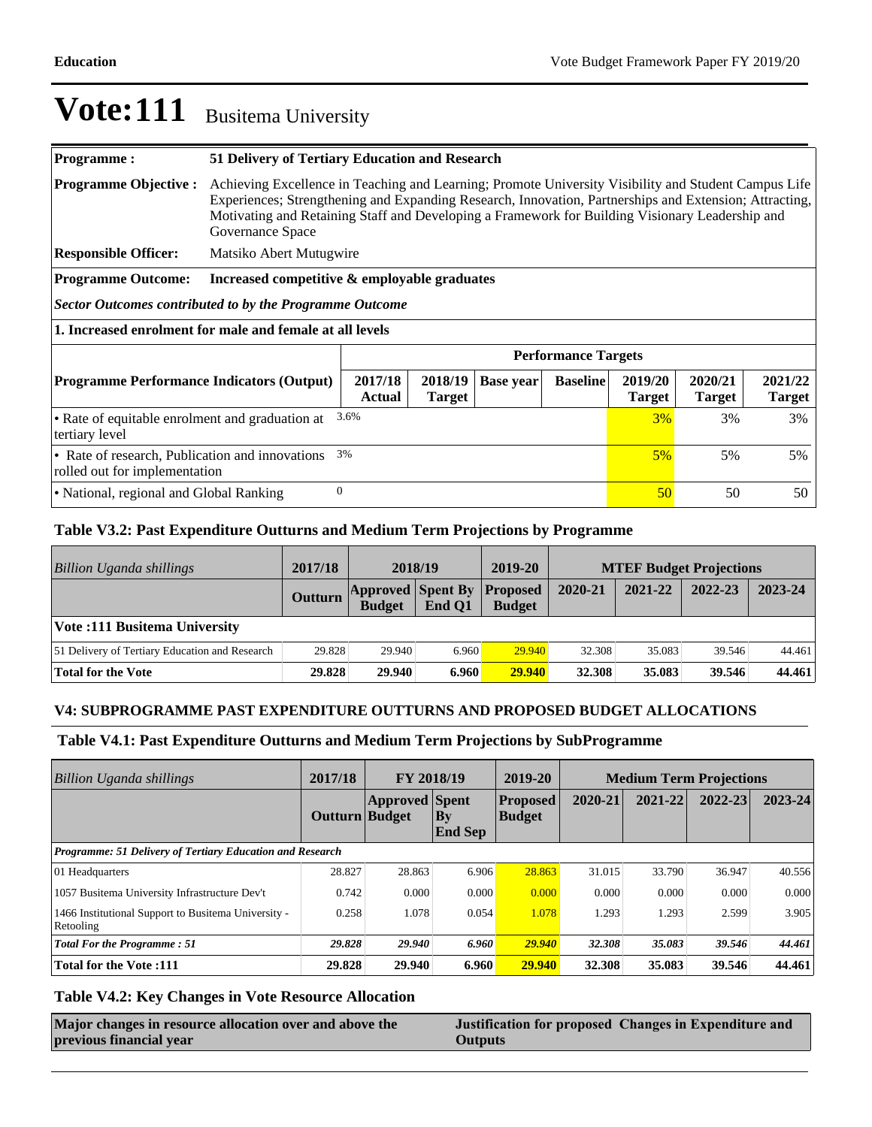| Programme:                                                                                            | 51 Delivery of Tertiary Education and Research                                                                                                                                                                                                                                                                                        |                          |                  |                 |                          |                          |                          |  |
|-------------------------------------------------------------------------------------------------------|---------------------------------------------------------------------------------------------------------------------------------------------------------------------------------------------------------------------------------------------------------------------------------------------------------------------------------------|--------------------------|------------------|-----------------|--------------------------|--------------------------|--------------------------|--|
| <b>Programme Objective:</b>                                                                           | Achieving Excellence in Teaching and Learning; Promote University Visibility and Student Campus Life<br>Experiences; Strengthening and Expanding Research, Innovation, Partnerships and Extension; Attracting,<br>Motivating and Retaining Staff and Developing a Framework for Building Visionary Leadership and<br>Governance Space |                          |                  |                 |                          |                          |                          |  |
| <b>Responsible Officer:</b>                                                                           | Matsiko Abert Mutugwire                                                                                                                                                                                                                                                                                                               |                          |                  |                 |                          |                          |                          |  |
| <b>Programme Outcome:</b>                                                                             | Increased competitive & employable graduates                                                                                                                                                                                                                                                                                          |                          |                  |                 |                          |                          |                          |  |
| Sector Outcomes contributed to by the Programme Outcome                                               |                                                                                                                                                                                                                                                                                                                                       |                          |                  |                 |                          |                          |                          |  |
| 1. Increased enrolment for male and female at all levels                                              |                                                                                                                                                                                                                                                                                                                                       |                          |                  |                 |                          |                          |                          |  |
|                                                                                                       | <b>Performance Targets</b>                                                                                                                                                                                                                                                                                                            |                          |                  |                 |                          |                          |                          |  |
| <b>Programme Performance Indicators (Output)</b>                                                      | 2017/18<br><b>Actual</b>                                                                                                                                                                                                                                                                                                              | 2018/19<br><b>Target</b> | <b>Base year</b> | <b>Baseline</b> | 2019/20<br><b>Target</b> | 2020/21<br><b>Target</b> | 2021/22<br><b>Target</b> |  |
| 3.6%<br>• Rate of equitable enrolment and graduation at<br>$3\%$<br>3%<br>tertiary level              |                                                                                                                                                                                                                                                                                                                                       |                          |                  |                 | 3%                       |                          |                          |  |
| 3%<br>• Rate of research, Publication and innovations<br>$5\%$<br>5%<br>rolled out for implementation |                                                                                                                                                                                                                                                                                                                                       |                          |                  |                 | 5%                       |                          |                          |  |
| $\theta$<br>• National, regional and Global Ranking<br>50<br>50                                       |                                                                                                                                                                                                                                                                                                                                       |                          |                  |                 | 50                       |                          |                          |  |

#### **Table V3.2: Past Expenditure Outturns and Medium Term Projections by Programme**

| Billion Uganda shillings                       | 2017/18        | 2018/19                                   |        | 2019-20                          | <b>MTEF Budget Projections</b> |         |         |         |
|------------------------------------------------|----------------|-------------------------------------------|--------|----------------------------------|--------------------------------|---------|---------|---------|
|                                                | <b>Outturn</b> | <b>Approved Spent By</b><br><b>Budget</b> | End O1 | <b>Proposed</b><br><b>Budget</b> | 2020-21                        | 2021-22 | 2022-23 | 2023-24 |
| <b>Vote:111 Busitema University</b>            |                |                                           |        |                                  |                                |         |         |         |
| 51 Delivery of Tertiary Education and Research | 29.828         | 29.940                                    | 6.960  | 29.940                           | 32.308                         | 35.083  | 39.546  | 44.461  |
| Total for the Vote                             | 29.828         | 29.940                                    | 6.960  | <b>29.940</b>                    | 32.308                         | 35.083  | 39.546  | 44.461  |

#### **V4: SUBPROGRAMME PAST EXPENDITURE OUTTURNS AND PROPOSED BUDGET ALLOCATIONS**

#### **Table V4.1: Past Expenditure Outturns and Medium Term Projections by SubProgramme**

| <b>Billion Uganda shillings</b>                                  | 2017/18        | FY 2018/19            |                             | 2019-20                          | <b>Medium Term Projections</b> |         |         |             |
|------------------------------------------------------------------|----------------|-----------------------|-----------------------------|----------------------------------|--------------------------------|---------|---------|-------------|
|                                                                  | Outturn Budget | <b>Approved Spent</b> | $\bf{By}$<br><b>End Sep</b> | <b>Proposed</b><br><b>Budget</b> | 2020-21                        | 2021-22 | 2022-23 | $2023 - 24$ |
| <b>Programme: 51 Delivery of Tertiary Education and Research</b> |                |                       |                             |                                  |                                |         |         |             |
| 01 Headquarters                                                  | 28.827         | 28.863                | 6.906                       | 28.863                           | 31.015                         | 33.790  | 36.947  | 40.556      |
| 1057 Busitema University Infrastructure Dev't                    | 0.742          | 0.000                 | 0.000                       | 0.000                            | 0.000                          | 0.000   | 0.000   | 0.000       |
| 1466 Institutional Support to Busitema University -<br>Retooling | 0.258          | 1.078                 | 0.054                       | 1.078                            | 1.293                          | 1.293   | 2.599   | 3.905       |
| <b>Total For the Programme: 51</b>                               | 29.828         | 29.940                | 6.960                       | 29.940                           | 32.308                         | 35.083  | 39.546  | 44.461      |
| <b>Total for the Vote:111</b>                                    | 29.828         | 29.940                | 6.960                       | 29.940                           | 32.308                         | 35.083  | 39.546  | 44.461      |

#### **Table V4.2: Key Changes in Vote Resource Allocation**

| Major changes in resource allocation over and above the | Justification for proposed Changes in Expenditure and |
|---------------------------------------------------------|-------------------------------------------------------|
| previous financial year                                 | <b>Outputs</b>                                        |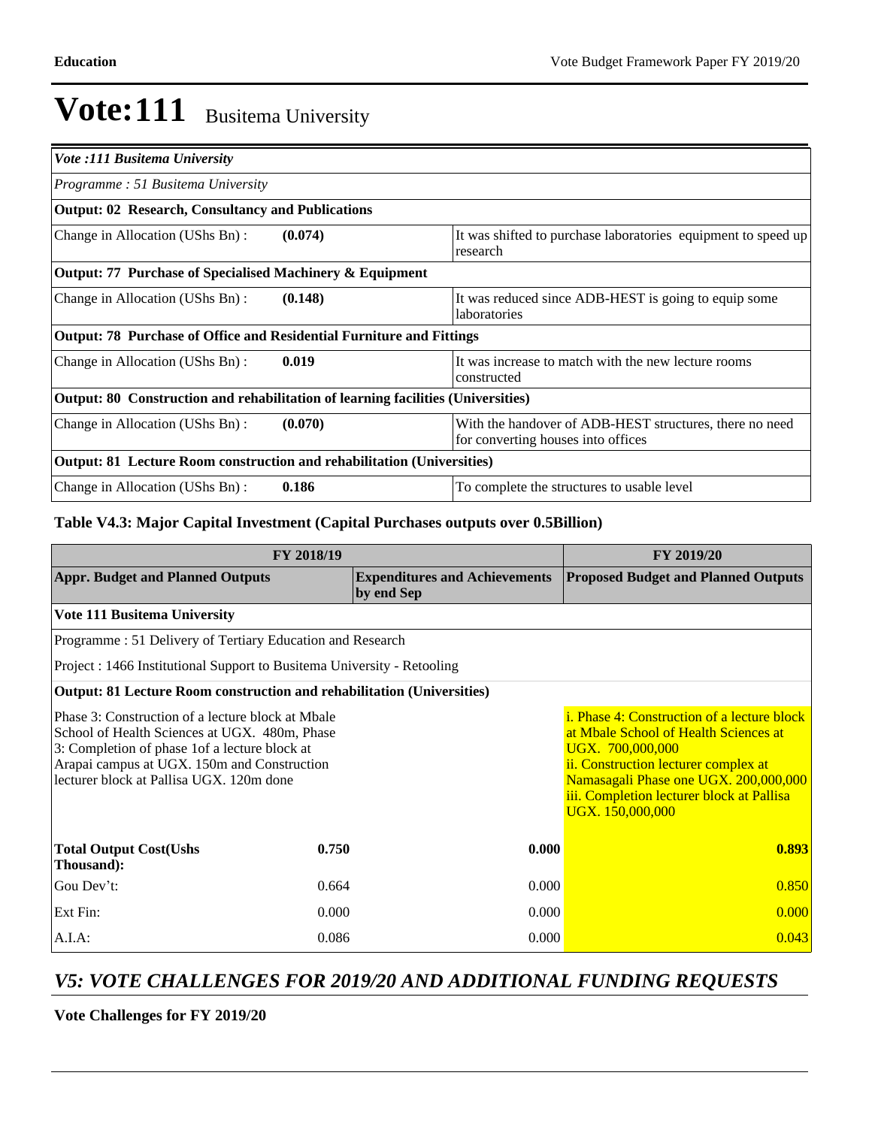| Vote :111 Busitema University                                                    |                                                                                               |  |  |  |
|----------------------------------------------------------------------------------|-----------------------------------------------------------------------------------------------|--|--|--|
| Programme: 51 Busitema University                                                |                                                                                               |  |  |  |
| <b>Output: 02 Research, Consultancy and Publications</b>                         |                                                                                               |  |  |  |
| (0.074)<br>Change in Allocation (UShs Bn):                                       | It was shifted to purchase laboratories equipment to speed up<br>research                     |  |  |  |
| Output: 77 Purchase of Specialised Machinery & Equipment                         |                                                                                               |  |  |  |
| Change in Allocation (UShs Bn):<br>(0.148)                                       | It was reduced since ADB-HEST is going to equip some<br>laboratories                          |  |  |  |
| <b>Output: 78 Purchase of Office and Residential Furniture and Fittings</b>      |                                                                                               |  |  |  |
| 0.019<br>Change in Allocation (UShs Bn):                                         | It was increase to match with the new lecture rooms<br>constructed                            |  |  |  |
| Output: 80 Construction and rehabilitation of learning facilities (Universities) |                                                                                               |  |  |  |
| Change in Allocation (UShs Bn):<br>(0.070)                                       | With the handover of ADB-HEST structures, there no need<br>for converting houses into offices |  |  |  |
| <b>Output: 81 Lecture Room construction and rehabilitation (Universities)</b>    |                                                                                               |  |  |  |
| 0.186<br>Change in Allocation (UShs Bn):                                         | To complete the structures to usable level                                                    |  |  |  |

### **Table V4.3: Major Capital Investment (Capital Purchases outputs over 0.5Billion)**

| FY 2018/19                                                                                                                                                                                                                                      | FY 2019/20                                                                                                                                                                                                                                                        |                                                    |                                            |  |  |  |  |  |
|-------------------------------------------------------------------------------------------------------------------------------------------------------------------------------------------------------------------------------------------------|-------------------------------------------------------------------------------------------------------------------------------------------------------------------------------------------------------------------------------------------------------------------|----------------------------------------------------|--------------------------------------------|--|--|--|--|--|
| <b>Appr. Budget and Planned Outputs</b>                                                                                                                                                                                                         |                                                                                                                                                                                                                                                                   | <b>Expenditures and Achievements</b><br>by end Sep | <b>Proposed Budget and Planned Outputs</b> |  |  |  |  |  |
| <b>Vote 111 Busitema University</b>                                                                                                                                                                                                             |                                                                                                                                                                                                                                                                   |                                                    |                                            |  |  |  |  |  |
| Programme: 51 Delivery of Tertiary Education and Research                                                                                                                                                                                       |                                                                                                                                                                                                                                                                   |                                                    |                                            |  |  |  |  |  |
|                                                                                                                                                                                                                                                 | Project : 1466 Institutional Support to Busitema University - Retooling                                                                                                                                                                                           |                                                    |                                            |  |  |  |  |  |
| <b>Output: 81 Lecture Room construction and rehabilitation (Universities)</b>                                                                                                                                                                   |                                                                                                                                                                                                                                                                   |                                                    |                                            |  |  |  |  |  |
| Phase 3: Construction of a lecture block at Mbale<br>School of Health Sciences at UGX. 480m, Phase<br>3: Completion of phase 1 of a lecture block at<br>Arapai campus at UGX. 150m and Construction<br>lecturer block at Pallisa UGX. 120m done | <i>i.</i> Phase 4: Construction of a lecture block<br>at Mbale School of Health Sciences at<br>UGX. 700,000,000<br>ii. Construction lecturer complex at<br>Namasagali Phase one UGX. 200,000,000<br>iii. Completion lecturer block at Pallisa<br>UGX. 150,000,000 |                                                    |                                            |  |  |  |  |  |
| <b>Total Output Cost(Ushs</b><br>Thousand):                                                                                                                                                                                                     | 0.750                                                                                                                                                                                                                                                             | 0.000                                              | 0.893                                      |  |  |  |  |  |
| Gou Dev't:                                                                                                                                                                                                                                      | 0.664                                                                                                                                                                                                                                                             | 0.000                                              | 0.850                                      |  |  |  |  |  |
| Ext Fin:                                                                                                                                                                                                                                        | 0.000                                                                                                                                                                                                                                                             | 0.000                                              | 0.000                                      |  |  |  |  |  |
| A.I.A:                                                                                                                                                                                                                                          | 0.086                                                                                                                                                                                                                                                             | 0.000                                              | 0.043                                      |  |  |  |  |  |

### *V5: VOTE CHALLENGES FOR 2019/20 AND ADDITIONAL FUNDING REQUESTS*

**Vote Challenges for FY 2019/20**